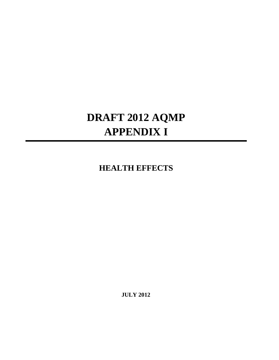## **DRAFT 2012 AQMP APPENDIX I**

## **HEALTH EFFECTS**

**JULY 2012**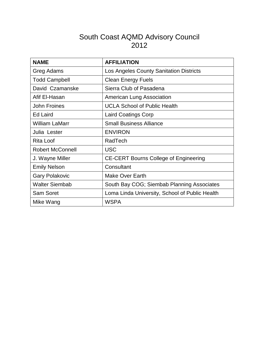## South Coast AQMD Advisory Council 2012

| <b>NAME</b>             | <b>AFFILIATION</b>                             |
|-------------------------|------------------------------------------------|
| Greg Adams              | Los Angeles County Sanitation Districts        |
| <b>Todd Campbell</b>    | <b>Clean Energy Fuels</b>                      |
| David Czamanske         | Sierra Club of Pasadena                        |
| Afif El-Hasan           | American Lung Association                      |
| <b>John Froines</b>     | <b>UCLA School of Public Health</b>            |
| <b>Ed Laird</b>         | Laird Coatings Corp                            |
| <b>William LaMarr</b>   | <b>Small Business Alliance</b>                 |
| Julia Lester            | <b>ENVIRON</b>                                 |
| <b>Rita Loof</b>        | RadTech                                        |
| <b>Robert McConnell</b> | <b>USC</b>                                     |
| J. Wayne Miller         | <b>CE-CERT Bourns College of Engineering</b>   |
| <b>Emily Nelson</b>     | Consultant                                     |
| <b>Gary Polakovic</b>   | Make Over Earth                                |
| <b>Walter Siembab</b>   | South Bay COG; Siembab Planning Associates     |
| <b>Sam Soret</b>        | Loma Linda University, School of Public Health |
| Mike Wang               | <b>WSPA</b>                                    |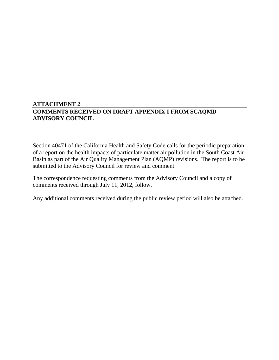## **ATTACHMENT 2 COMMENTS RECEIVED ON DRAFT APPENDIX I FROM SCAQMD ADVISORY COUNCIL**

Section 40471 of the California Health and Safety Code calls for the periodic preparation of a report on the health impacts of particulate matter air pollution in the South Coast Air Basin as part of the Air Quality Management Plan (AQMP) revisions. The report is to be submitted to the Advisory Council for review and comment.

The correspondence requesting comments from the Advisory Council and a copy of comments received through July 11, 2012, follow.

Any additional comments received during the public review period will also be attached.